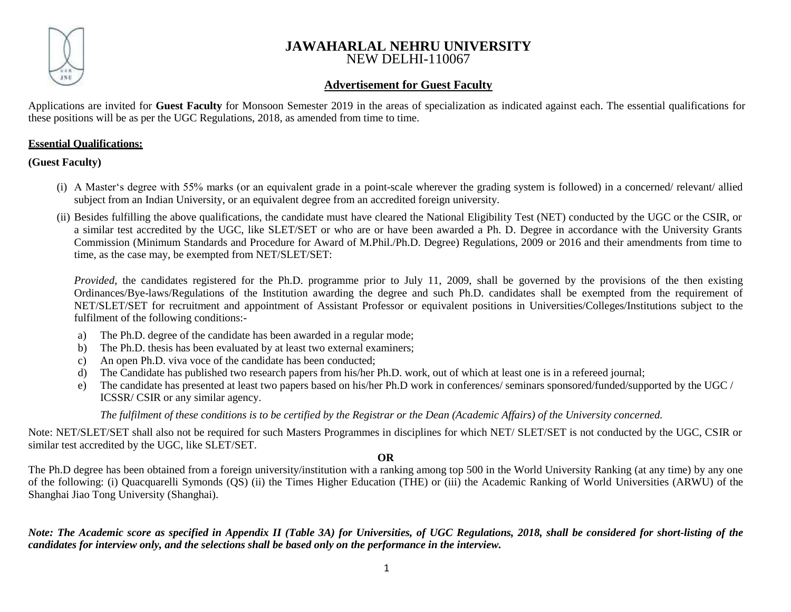

# **JAWAHARLAL NEHRU UNIVERSITY** NEW DELHI-110067

# **Advertisement for Guest Faculty**

Applications are invited for **Guest Faculty** for Monsoon Semester 2019 in the areas of specialization as indicated against each. The essential qualifications for these positions will be as per the UGC Regulations, 2018, as amended from time to time.

### **Essential Qualifications:**

**(Guest Faculty)** 

- (i) A Master's degree with 55% marks (or an equivalent grade in a point-scale wherever the grading system is followed) in a concerned/ relevant/ allied subject from an Indian University, or an equivalent degree from an accredited foreign university.
- (ii) Besides fulfilling the above qualifications, the candidate must have cleared the National Eligibility Test (NET) conducted by the UGC or the CSIR, or a similar test accredited by the UGC, like SLET/SET or who are or have been awarded a Ph. D*.* Degree in accordance with the University Grants Commission (Minimum Standards and Procedure for Award of M.Phil./Ph.D. Degree) Regulations, 2009 or 2016 and their amendments from time to time, as the case may, be exempted from NET/SLET/SET:

*Provided*, the candidates registered for the Ph.D. programme prior to July 11, 2009, shall be governed by the provisions of the then existing Ordinances/Bye-laws/Regulations of the Institution awarding the degree and such Ph.D. candidates shall be exempted from the requirement of NET/SLET/SET for recruitment and appointment of Assistant Professor or equivalent positions in Universities/Colleges/Institutions subject to the fulfilment of the following conditions:-

- a) The Ph.D. degree of the candidate has been awarded in a regular mode;
- b) The Ph.D. thesis has been evaluated by at least two external examiners;
- c) An open Ph.D. viva voce of the candidate has been conducted;
- d) The Candidate has published two research papers from his/her Ph.D. work, out of which at least one is in a refereed journal;
- e) The candidate has presented at least two papers based on his/her Ph.D work in conferences/ seminars sponsored/funded/supported by the UGC / ICSSR/ CSIR or any similar agency.

*The fulfilment of these conditions is to be certified by the Registrar or the Dean (Academic Affairs) of the University concerned.*

Note: NET/SLET/SET shall also not be required for such Masters Programmes in disciplines for which NET/ SLET/SET is not conducted by the UGC, CSIR or similar test accredited by the UGC, like SLET/SET.

**OR**

The Ph.D degree has been obtained from a foreign university/institution with a ranking among top 500 in the World University Ranking (at any time) by any one of the following: (i) Quacquarelli Symonds (QS) (ii) the Times Higher Education (THE) or (iii) the Academic Ranking of World Universities (ARWU) of the Shanghai Jiao Tong University (Shanghai).

*Note: The Academic score as specified in Appendix II (Table 3A) for Universities, of UGC Regulations, 2018, shall be considered for short-listing of the candidates for interview only, and the selections shall be based only on the performance in the interview.*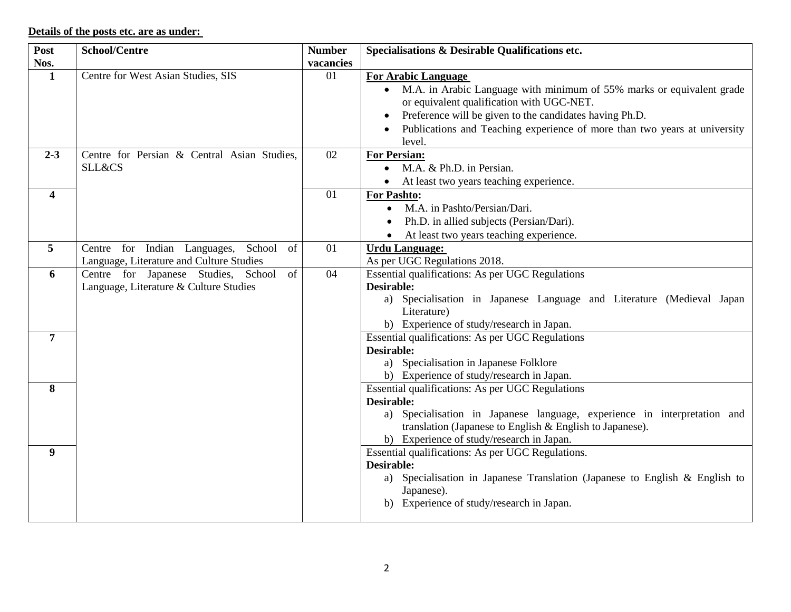# **Details of the posts etc. are as under:**

| Post           | <b>School/Centre</b>                         | <b>Number</b> | Specialisations & Desirable Qualifications etc.                                     |
|----------------|----------------------------------------------|---------------|-------------------------------------------------------------------------------------|
| Nos.           |                                              | vacancies     |                                                                                     |
| $\mathbf{1}$   | Centre for West Asian Studies, SIS           | 01            | <b>For Arabic Language</b>                                                          |
|                |                                              |               | M.A. in Arabic Language with minimum of 55% marks or equivalent grade<br>$\bullet$  |
|                |                                              |               | or equivalent qualification with UGC-NET.                                           |
|                |                                              |               | Preference will be given to the candidates having Ph.D.                             |
|                |                                              |               | Publications and Teaching experience of more than two years at university           |
|                |                                              |               | level.                                                                              |
| $2 - 3$        | Centre for Persian & Central Asian Studies,  | 02            | <b>For Persian:</b>                                                                 |
|                | <b>SLL&amp;CS</b>                            |               | M.A. & Ph.D. in Persian.<br>$\bullet$                                               |
|                |                                              |               | At least two years teaching experience.                                             |
| 4              |                                              | 01            | For Pashto:                                                                         |
|                |                                              |               | M.A. in Pashto/Persian/Dari.<br>$\bullet$                                           |
|                |                                              |               | Ph.D. in allied subjects (Persian/Dari).                                            |
|                |                                              |               | At least two years teaching experience.<br>$\bullet$                                |
| 5              | Centre for Indian Languages,<br>School<br>of | 01            | <b>Urdu Language:</b>                                                               |
|                | Language, Literature and Culture Studies     |               | As per UGC Regulations 2018.                                                        |
| 6              | Centre for Japanese Studies, School<br>of    | 04            | Essential qualifications: As per UGC Regulations                                    |
|                | Language, Literature & Culture Studies       |               | <b>Desirable:</b>                                                                   |
|                |                                              |               | a) Specialisation in Japanese Language and Literature (Medieval Japan               |
|                |                                              |               | Literature)                                                                         |
|                |                                              |               | b) Experience of study/research in Japan.                                           |
| $\overline{7}$ |                                              |               | Essential qualifications: As per UGC Regulations                                    |
|                |                                              |               | <b>Desirable:</b>                                                                   |
|                |                                              |               | a) Specialisation in Japanese Folklore<br>b) Experience of study/research in Japan. |
| 8              |                                              |               | Essential qualifications: As per UGC Regulations                                    |
|                |                                              |               | <b>Desirable:</b>                                                                   |
|                |                                              |               | a) Specialisation in Japanese language, experience in interpretation and            |
|                |                                              |               | translation (Japanese to English & English to Japanese).                            |
|                |                                              |               | b) Experience of study/research in Japan.                                           |
| 9              |                                              |               | Essential qualifications: As per UGC Regulations.                                   |
|                |                                              |               | <b>Desirable:</b>                                                                   |
|                |                                              |               | a) Specialisation in Japanese Translation (Japanese to English & English to         |
|                |                                              |               | Japanese).                                                                          |
|                |                                              |               | b) Experience of study/research in Japan.                                           |
|                |                                              |               |                                                                                     |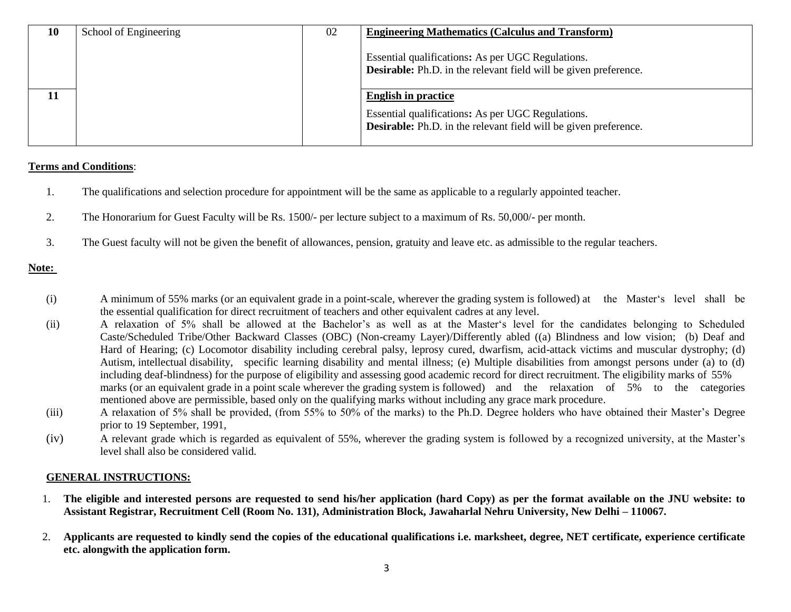| 10 | School of Engineering | 02 | <b>Engineering Mathematics (Calculus and Transform)</b>                                                                      |
|----|-----------------------|----|------------------------------------------------------------------------------------------------------------------------------|
|    |                       |    | Essential qualifications: As per UGC Regulations.<br><b>Desirable:</b> Ph.D. in the relevant field will be given preference. |
|    |                       |    | <b>English in practice</b>                                                                                                   |
|    |                       |    | Essential qualifications: As per UGC Regulations.<br><b>Desirable:</b> Ph.D. in the relevant field will be given preference. |

### **Terms and Conditions**:

- 1. The qualifications and selection procedure for appointment will be the same as applicable to a regularly appointed teacher.
- 2. The Honorarium for Guest Faculty will be Rs. 1500/- per lecture subject to a maximum of Rs. 50,000/- per month.
- 3. The Guest faculty will not be given the benefit of allowances, pension, gratuity and leave etc. as admissible to the regular teachers.

### **Note:**

- (i) A minimum of 55% marks (or an equivalent grade in a point-scale, wherever the grading system is followed) at the Master's level shall be the essential qualification for direct recruitment of teachers and other equivalent cadres at any level.
- (ii) A relaxation of 5% shall be allowed at the Bachelor's as well as at the Master's level for the candidates belonging to Scheduled Caste/Scheduled Tribe/Other Backward Classes (OBC) (Non-creamy Layer)/Differently abled ((a) Blindness and low vision; (b) Deaf and Hard of Hearing; (c) Locomotor disability including cerebral palsy, leprosy cured, dwarfism, acid-attack victims and muscular dystrophy; (d) Autism, intellectual disability, specific learning disability and mental illness; (e) Multiple disabilities from amongst persons under (a) to (d) including deaf-blindness) for the purpose of eligibility and assessing good academic record for direct recruitment. The eligibility marks of 55% marks (or an equivalent grade in a point scale wherever the grading system is followed) and the relaxation of 5% to the categories mentioned above are permissible, based only on the qualifying marks without including any grace mark procedure.
- (iii) A relaxation of 5% shall be provided, (from 55% to 50% of the marks) to the Ph.D. Degree holders who have obtained their Master's Degree prior to 19 September, 1991,
- (iv) A relevant grade which is regarded as equivalent of 55%, wherever the grading system is followed by a recognized university, at the Master's level shall also be considered valid.

#### **GENERAL INSTRUCTIONS:**

- 1. **The eligible and interested persons are requested to send his/her application (hard Copy) as per the format available on the JNU website: to Assistant Registrar, Recruitment Cell (Room No. 131), Administration Block, Jawaharlal Nehru University, New Delhi – 110067.**
- 2. **Applicants are requested to kindly send the copies of the educational qualifications i.e. marksheet, degree, NET certificate, experience certificate etc. alongwith the application form.**